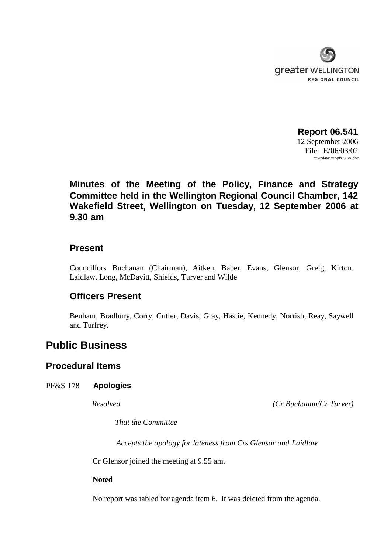

**Report 06.541** 12 September 2006 File: E/06/03/02 m:wpdata\min\pfs05.581doc

# **Minutes of the Meeting of the Policy, Finance and Strategy Committee held in the Wellington Regional Council Chamber, 142 Wakefield Street, Wellington on Tuesday, 12 September 2006 at 9.30 am**

# **Present**

Councillors Buchanan (Chairman), Aitken, Baber, Evans, Glensor, Greig, Kirton, Laidlaw, Long, McDavitt, Shields, Turver and Wilde

# **Officers Present**

Benham, Bradbury, Corry, Cutler, Davis, Gray, Hastie, Kennedy, Norrish, Reay, Saywell and Turfrey.

# **Public Business**

# **Procedural Items**

### PF&S 178 **Apologies**

*Resolved (Cr Buchanan/Cr Turver)*

*That the Committee*

*Accepts the apology for lateness from Crs Glensor and Laidlaw.*

Cr Glensor joined the meeting at 9.55 am.

**Noted**

No report was tabled for agenda item 6. It was deleted from the agenda.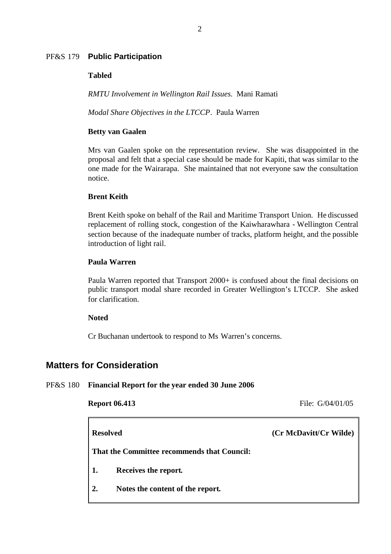### PF&S 179 **Public Participation**

### **Tabled**

*RMTU Involvement in Wellington Rail Issues*. Mani Ramati

*Modal Share Objectives in the LTCCP*. Paula Warren

### **Betty van Gaalen**

Mrs van Gaalen spoke on the representation review. She was disappointed in the proposal and felt that a special case should be made for Kapiti, that was similar to the one made for the Wairarapa. She maintained that not everyone saw the consultation notice.

### **Brent Keith**

Brent Keith spoke on behalf of the Rail and Maritime Transport Union. He discussed replacement of rolling stock, congestion of the Kaiwharawhara - Wellington Central section because of the inadequate number of tracks, platform height, and the possible introduction of light rail.

### **Paula Warren**

Paula Warren reported that Transport 2000+ is confused about the final decisions on public transport modal share recorded in Greater Wellington's LTCCP. She asked for clarification.

### **Noted**

Cr Buchanan undertook to respond to Ms Warren's concerns.

# **Matters for Consideration**

F

### PF&S 180 **Financial Report for the year ended 30 June 2006**

**Report 06.413** File: G/04/01/05

| <b>Resolved</b>                             |                                  | (Cr McDavitt/Cr Wilde) |  |  |
|---------------------------------------------|----------------------------------|------------------------|--|--|
| That the Committee recommends that Council: |                                  |                        |  |  |
| $\vert 1. \vert$                            | Receives the report.             |                        |  |  |
| $\overline{2}$ .                            | Notes the content of the report. |                        |  |  |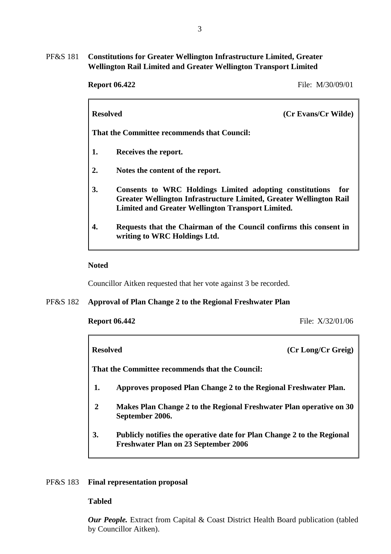## PF&S 181 **Constitutions for Greater Wellington Infrastructure Limited, Greater Wellington Rail Limited and Greater Wellington Transport Limited**

|                                             | <b>Resolved</b><br>(Cr Evans/Cr Wilde)                                                                                                                                                           |  |  |  |
|---------------------------------------------|--------------------------------------------------------------------------------------------------------------------------------------------------------------------------------------------------|--|--|--|
| That the Committee recommends that Council: |                                                                                                                                                                                                  |  |  |  |
| 1.                                          | Receives the report.                                                                                                                                                                             |  |  |  |
| 2.                                          | Notes the content of the report.                                                                                                                                                                 |  |  |  |
| 3.                                          | Consents to WRC Holdings Limited adopting constitutions<br>for<br>Greater Wellington Infrastructure Limited, Greater Wellington Rail<br><b>Limited and Greater Wellington Transport Limited.</b> |  |  |  |
| 4.                                          | Requests that the Chairman of the Council confirms this consent in<br>writing to WRC Holdings Ltd.                                                                                               |  |  |  |

### **Noted**

Councillor Aitken requested that her vote against 3 be recorded.

### PF&S 182 **Approval of Plan Change 2 to the Regional Freshwater Plan**

**Report 06.442** File: X/32/01/06

**Resolved (Cr Long/Cr Greig) That the Committee recommends that the Council: 1. Approves proposed Plan Change 2 to the Regional Freshwater Plan. 2 Makes Plan Change 2 to the Regional Freshwater Plan operative on 30**

- **September 2006.**
- **3. Publicly notifies the operative date for Plan Change 2 to the Regional Freshwater Plan on 23 September 2006**

### PF&S 183 **Final representation proposal**

### **Tabled**

*Our People.* Extract from Capital & Coast District Health Board publication (tabled by Councillor Aitken).

### **Report 06.422** File: M/30/09/01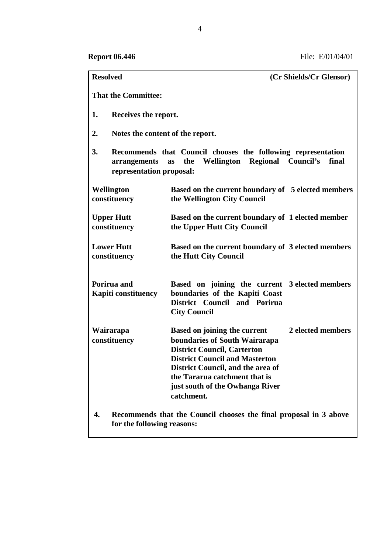| <b>Resolved</b>                                                                                       | (Cr Shields/Cr Glensor)                                                                                                                                                                                                                                                                         |  |  |  |  |
|-------------------------------------------------------------------------------------------------------|-------------------------------------------------------------------------------------------------------------------------------------------------------------------------------------------------------------------------------------------------------------------------------------------------|--|--|--|--|
| <b>That the Committee:</b>                                                                            |                                                                                                                                                                                                                                                                                                 |  |  |  |  |
| 1.                                                                                                    | Receives the report.                                                                                                                                                                                                                                                                            |  |  |  |  |
| 2.                                                                                                    | Notes the content of the report.                                                                                                                                                                                                                                                                |  |  |  |  |
| 3.<br>arrangements                                                                                    | Recommends that Council chooses the following representation<br>Wellington Regional Council's<br>the<br>final<br><b>as</b><br>representation proposal:                                                                                                                                          |  |  |  |  |
| Wellington<br>constituency                                                                            | Based on the current boundary of 5 elected members<br>the Wellington City Council                                                                                                                                                                                                               |  |  |  |  |
| <b>Upper Hutt</b>                                                                                     | Based on the current boundary of 1 elected member                                                                                                                                                                                                                                               |  |  |  |  |
| constituency                                                                                          | the Upper Hutt City Council                                                                                                                                                                                                                                                                     |  |  |  |  |
| <b>Lower Hutt</b><br>constituency                                                                     | Based on the current boundary of 3 elected members<br>the Hutt City Council                                                                                                                                                                                                                     |  |  |  |  |
| Porirua and<br><b>Kapiti constituency</b>                                                             | Based on joining the current 3 elected members<br>boundaries of the Kapiti Coast<br>District Council and Porirua<br><b>City Council</b>                                                                                                                                                         |  |  |  |  |
| Wairarapa<br>constituency                                                                             | 2 elected members<br><b>Based on joining the current</b><br>boundaries of South Wairarapa<br><b>District Council, Carterton</b><br><b>District Council and Masterton</b><br>District Council, and the area of<br>the Tararua catchment that is<br>just south of the Owhanga River<br>catchment. |  |  |  |  |
| 4.<br>Recommends that the Council chooses the final proposal in 3 above<br>for the following reasons: |                                                                                                                                                                                                                                                                                                 |  |  |  |  |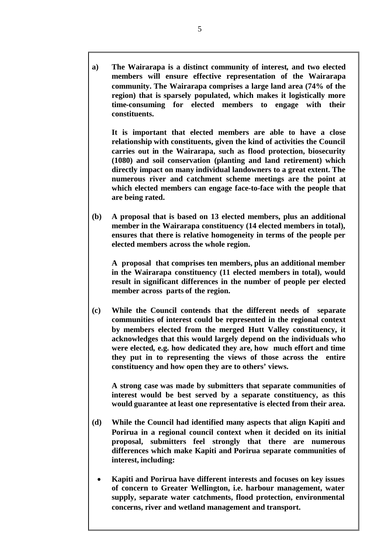**a) The Wairarapa is a distinct community of interest, and two elected members will ensure effective representation of the Wairarapa community. The Wairarapa comprises a large land area (74% of the region) that is sparsely populated, which makes it logistically more time-consuming for elected members to engage with their constituents.**

**It is important that elected members are able to have a close relationship with constituents, given the kind of activities the Council carries out in the Wairarapa, such as flood protection, biosecurity (1080) and soil conservation (planting and land retirement) which directly impact on many individual landowners to a great extent. The numerous river and catchment scheme meetings are the point at which elected members can engage face-to-face with the people that are being rated.**

**(b) A proposal that is based on 13 elected members, plus an additional member in the Wairarapa constituency (14 elected members in total), ensures that there is relative homogeneity in terms of the people per elected members across the whole region.**

**A proposal that comprises ten members, plus an additional member in the Wairarapa constituency (11 elected members in total), would result in significant differences in the number of people per elected member across parts of the region.**

**(c) While the Council contends that the different needs of separate communities of interest could be represented in the regional context by members elected from the merged Hutt Valley constituency, it acknowledges that this would largely depend on the individuals who were elected, e.g. how dedicated they are, how much effort and time they put in to representing the views of those across the entire constituency and how open they are to others' views.**

**A strong case was made by submitters that separate communities of interest would be best served by a separate constituency, as this would guarantee at least one representative is elected from their area.**

- **(d) While the Council had identified many aspects that align Kapiti and Porirua in a regional council context when it decided on its initial proposal, submitters feel strongly that there are numerous differences which make Kapiti and Porirua separate communities of interest, including:**
	- **Kapiti and Porirua have different interests and focuses on key issues of concern to Greater Wellington, i.e. harbour management, water supply, separate water catchments, flood protection, environmental concerns, river and wetland management and transport.**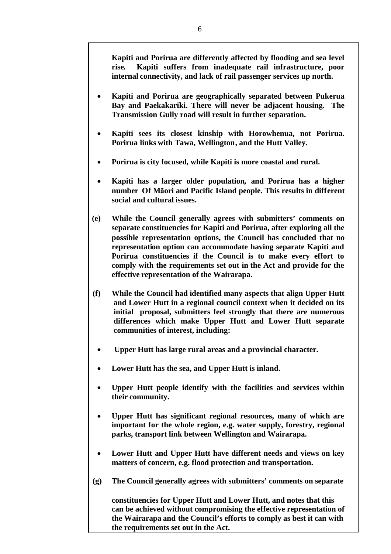**Kapiti and Porirua are differently affected by flooding and sea level rise. Kapiti suffers from inadequate rail infrastructure, poor internal connectivity, and lack of rail passenger services up north.**

- **Kapiti and Porirua are geographically separated between Pukerua Bay and Paekakariki. There will never be adjacent housing. The Transmission Gully road will result in further separation.**
- **Kapiti sees its closest kinship with Horowhenua, not Porirua. Porirua links with Tawa, Wellington, and the Hutt Valley.**
- **Porirua is city focused, while Kapiti is more coastal and rural.**
- **Kapiti has a larger older population, and Porirua has a higher number Of Māori and Pacific Island people. This results in different social and cultural issues.**
- **(e) While the Council generally agrees with submitters' comments on separate constituencies for Kapiti and Porirua, after exploring all the possible representation options, the Council has concluded that no representation option can accommodate having separate Kapiti and Porirua constituencies if the Council is to make every effort to comply with the requirements set out in the Act and provide for the effective representation of the Wairarapa.**
- **(f) While the Council had identified many aspects that align Upper Hutt and Lower Hutt in a regional council context when it decided on its initial proposal, submitters feel strongly that there are numerous differences which make Upper Hutt and Lower Hutt separate communities of interest, including:**
	- **Upper Hutt has large rural areas and a provincial character.**
	- **Lower Hutt has the sea, and Upper Hutt is inland.**
	- **Upper Hutt people identify with the facilities and services within their community.**
	- **Upper Hutt has significant regional resources, many of which are important for the whole region, e.g. water supply, forestry, regional parks, transport link between Wellington and Wairarapa.**
	- **Lower Hutt and Upper Hutt have different needs and views on key matters of concern, e.g. flood protection and transportation.**
- **(g) The Council generally agrees with submitters' comments on separate**

**constituencies for Upper Hutt and Lower Hutt, and notes that this can be achieved without compromising the effective representation of the Wairarapa and the Council's efforts to comply as best it can with the requirements set out in the Act.**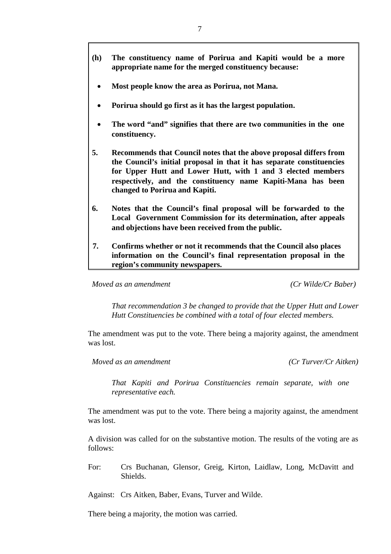- **Most people know the area as Porirua, not Mana.**
- **Porirua should go first as it has the largest population.**
- **The word "and" signifies that there are two communities in the one constituency.**
- **5. Recommends that Council notes that the above proposal differs from the Council's initial proposal in that it has separate constituencies for Upper Hutt and Lower Hutt, with 1 and 3 elected members respectively, and the constituency name Kapiti-Mana has been changed to Porirua and Kapiti.**
- **6. Notes that the Council's final proposal will be forwarded to the Local Government Commission for its determination, after appeals and objections have been received from the public.**
- **7. Confirms whether or not it recommends that the Council also places information on the Council's final representation proposal in the region's community newspapers.**

*Moved as an amendment (Cr Wilde/Cr Baber)*

*That recommendation 3 be changed to provide that the Upper Hutt and Lower Hutt Constituencies be combined with a total of four elected members.*

The amendment was put to the vote. There being a majority against, the amendment was lost.

*Moved as an amendment (Cr Turver/Cr Aitken)*

*That Kapiti and Porirua Constituencies remain separate, with one representative each.*

The amendment was put to the vote. There being a majority against, the amendment was lost.

A division was called for on the substantive motion. The results of the voting are as follows:

For: Crs Buchanan, Glensor, Greig, Kirton, Laidlaw, Long, McDavitt and Shields.

Against: Crs Aitken, Baber, Evans, Turver and Wilde.

There being a majority, the motion was carried.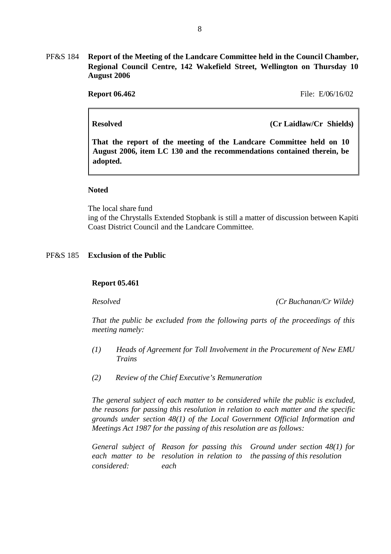PF&S 184 **Report of the Meeting of the Landcare Committee held in the Council Chamber, Regional Council Centre, 142 Wakefield Street, Wellington on Thursday 10 August 2006**

**Report 06.462** File: E/06/16/02

**Resolved (Cr Laidlaw/Cr Shields)**

**That the report of the meeting of the Landcare Committee held on 10 August 2006, item LC 130 and the recommendations contained therein, be adopted.**

### **Noted**

The local share fund ing of the Chrystalls Extended Stopbank is still a matter of discussion between Kapiti Coast District Council and the Landcare Committee.

### PF&S 185 **Exclusion of the Public**

### **Report 05.461**

*Resolved (Cr Buchanan/Cr Wilde)*

*That the public be excluded from the following parts of the proceedings of this meeting namely:*

- *(1) Heads of Agreement for Toll Involvement in the Procurement of New EMU Trains*
- *(2) Review of the Chief Executive's Remuneration*

*The general subject of each matter to be considered while the public is excluded, the reasons for passing this resolution in relation to each matter and the specific grounds under section 48(1) of the Local Government Official Information and Meetings Act 1987 for the passing of this resolution are as follows:*

*General subject of Reason for passing this each matter to be resolution in relation to considered: each Ground under section 48(1) for the passing of this resolution*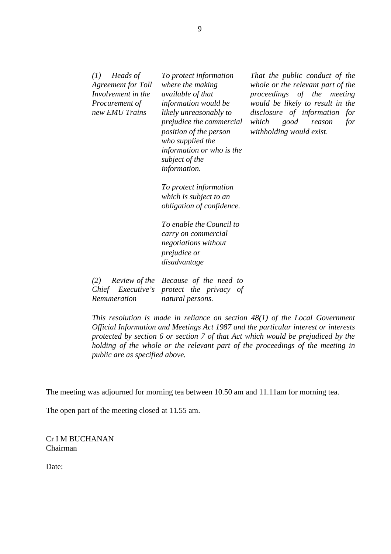| Heads of<br>(I)<br><b>Agreement for Toll</b><br>Involvement in the<br>Procurement of<br>new EMU Trains | To protect information<br>where the making<br><i>available of that</i><br>information would be<br>likely unreasonably to<br>prejudice the commercial<br>position of the person<br>who supplied the<br>information or who is the<br>subject of the<br>information. | That the public conduct of the<br>whole or the relevant part of the<br>proceedings of the meeting<br>would be likely to result in the<br>disclosure of information<br>for<br>which<br>for<br>good<br>reason<br>withholding would exist. |
|--------------------------------------------------------------------------------------------------------|-------------------------------------------------------------------------------------------------------------------------------------------------------------------------------------------------------------------------------------------------------------------|-----------------------------------------------------------------------------------------------------------------------------------------------------------------------------------------------------------------------------------------|
|                                                                                                        | To protect information                                                                                                                                                                                                                                            |                                                                                                                                                                                                                                         |
|                                                                                                        | which is subject to an                                                                                                                                                                                                                                            |                                                                                                                                                                                                                                         |
|                                                                                                        | <i>obligation of confidence.</i>                                                                                                                                                                                                                                  |                                                                                                                                                                                                                                         |
|                                                                                                        | To enable the Council to<br>carry on commercial<br>negotiations without<br>prejudice or<br>disadvantage                                                                                                                                                           |                                                                                                                                                                                                                                         |
|                                                                                                        |                                                                                                                                                                                                                                                                   |                                                                                                                                                                                                                                         |
| (2)                                                                                                    | Review of the Because of the need to                                                                                                                                                                                                                              |                                                                                                                                                                                                                                         |
|                                                                                                        | Chief Executive's protect the privacy of                                                                                                                                                                                                                          |                                                                                                                                                                                                                                         |
| Remuneration                                                                                           | natural persons.                                                                                                                                                                                                                                                  |                                                                                                                                                                                                                                         |

*This resolution is made in reliance on section 48(1) of the Local Government Official Information and Meetings Act 1987 and the particular interest or interests protected by section 6 or section 7 of that Act which would be prejudiced by the holding of the whole or the relevant part of the proceedings of the meeting in public are as specified above.*

The meeting was adjourned for morning tea between 10.50 am and 11.11am for morning tea.

The open part of the meeting closed at 11.55 am.

Cr I M BUCHANAN Chairman

Date: